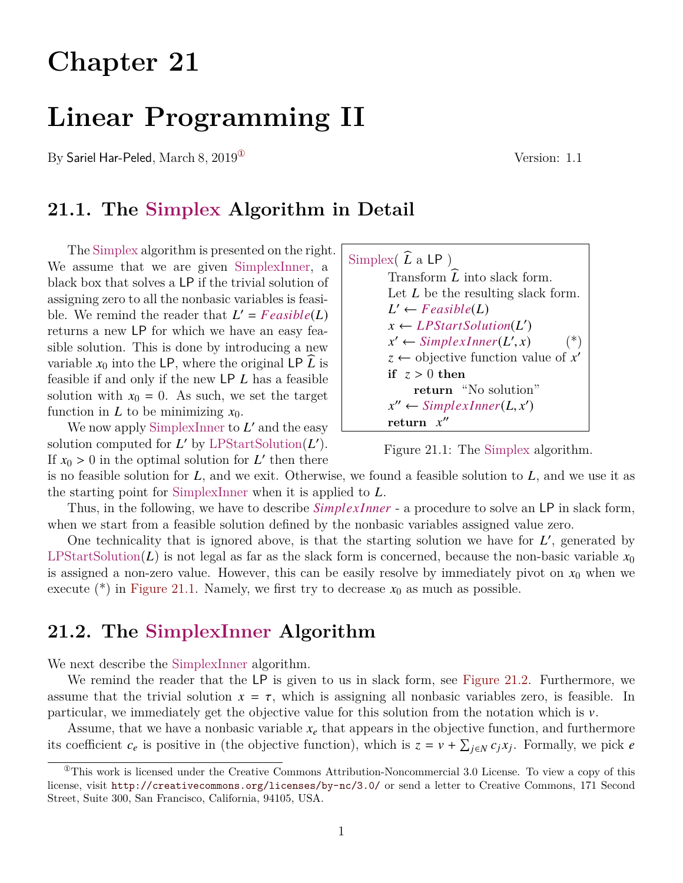# **Chapter 21**

# **Linear Programming II**

By Sariel Har-Peled, March 8, 2019<sup>(1)</sup> Version: 1.1

## **21.1. The Simplex Algorithm in Detail**

The Simplex algorithm is presented on the right. We assume that we are given SimplexInner, a black box that solves a LP if the trivial solution of assigning zero to all the nonbasic variables is feasible. We remind the reader that  $L' = Feasible(L)$ returns a new LP for which we have an easy feasible solution. This is done by introducing a new variable  $x_0$  into the LP, where the original LP  $\hat{L}$  is feasible if and only if the new LP *L* has a feasible solution with  $x_0 = 0$ . As such, we set the target function in  $L$  to be minimizing  $x_0$ .

We now apply SimplexInner to L' and the easy solution computed for  $L'$  by LPStartSolution( $L'$ ). If  $x_0 > 0$  in the optimal solution for *L* then there<br>is no feasible solution for *L* and we exit. Otherw



<span id="page-0-1"></span>

is no feasible solution for *L*, and we exit. Otherwise, we found a feasible solution to *L*, and we use it as the starting point for SimplexInner when it is applied to *L*.

Thus, in the following, we have to describe *Simplex Inner* - a procedure to solve an LP in slack form, when we start from a feasible solution defined by the nonbasic variables assigned value zero.

One technicality that is ignored above, is that the starting solution we have for  $L'$ , generated by LPStartSolution( $L$ ) is not legal as far as the slack form is concerned, because the non-basic variable  $x_0$ is assigned a non-zero value. However, this can be easily resolve by immediately pivot on *x*<sup>0</sup> when we execute  $(*)$  in [Figure 21.1.](#page-0-1) Namely, we first try to decrease  $x_0$  as much as possible.

## **21.2. The SimplexInner Algorithm**

We next describe the SimplexInner algorithm.

We remind the reader that the LP is given to us in slack form, see [Figure 21.2.](#page-1-0) Furthermore, we assume that the trivial solution  $x = \tau$ , which is assigning all nonbasic variables zero, is feasible. In particular, we immediately get the objective value for this solution from the notation which is  $\nu$ .

Assume, that we have a nonbasic variable  $x_e$  that appears in the objective function, and furthermore its coefficient  $c_e$  is positive in (the objective function), which is  $z = v + \sum_{j \in N} c_j x_j$ . Formally, we pick *e* 

<span id="page-0-0"></span> $^{\circ}$ This work is licensed under the Creative Commons Attribution-Noncommercial 3.0 License. To view a copy of this license, visit <http://creativecommons.org/licenses/by-nc/3.0/> or send a letter to Creative Commons, 171 Second Street, Suite 300, San Francisco, California, 94105, USA.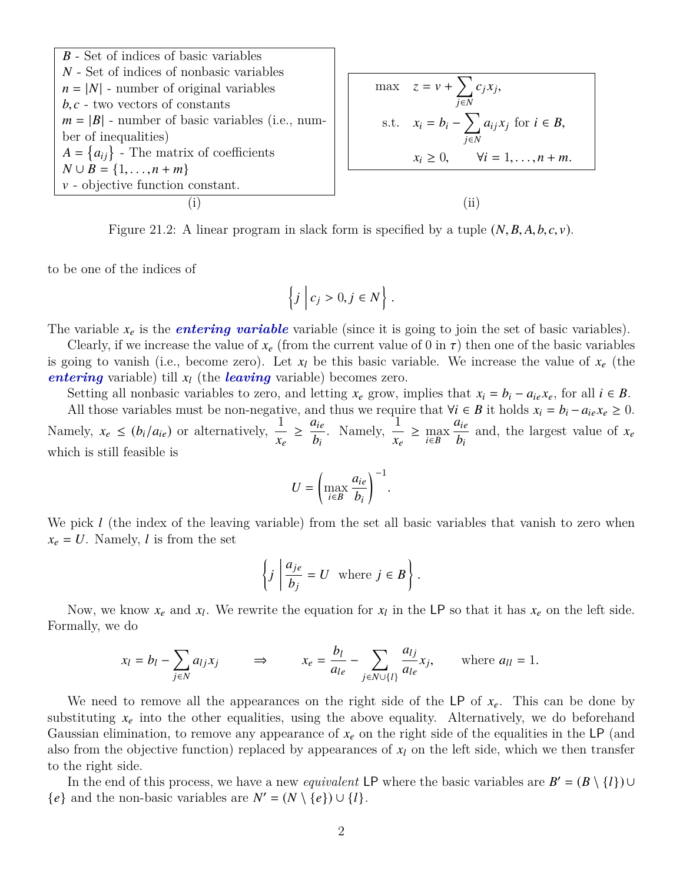<span id="page-1-0"></span>

| $B$ - Set of indices of basic variables           |      |
|---------------------------------------------------|------|
| $N$ - Set of indices of nonbasic variables        |      |
| $n =  N $ - number of original variables          |      |
| $b, c$ - two vectors of constants                 |      |
| $m =  B $ - number of basic variables (i.e., num- |      |
| ber of inequalities)                              |      |
| $A = \{a_{ij}\}$ - The matrix of coefficients     |      |
| $N \cup B = \{1, ..., n + m\}$                    |      |
| $v$ - objective function constant.                |      |
| (i)                                               | (ii) |

Figure 21.2: A linear program in slack form is specified by a tuple  $(N, B, A, b, c, v)$ .

to be one of the indices of

$$
\left\{j \middle| c_j > 0, j \in N \right\}.
$$

The variable  $x_e$  is the *entering variable* variable (since it is going to join the set of basic variables).

Clearly, if we increase the value of  $x_e$  (from the current value of 0 in  $\tau$ ) then one of the basic variables is going to vanish (i.e., become zero). Let  $x_l$  be this basic variable. We increase the value of  $x_e$  (the *entering* variable) till  $x_l$  (the *leaving* variable) becomes zero.

Setting all nonbasic variables to zero, and letting  $x_e$  grow, implies that  $x_i = b_i - a_{ie}x_e$ , for all  $i \in B$ .

All those variables must be non-negative, and thus we require that  $\forall i \in B$  it holds  $x_i = b_i - a_{ie}x_e \geq 0$ . Namely,  $x_e \leq (b_i/a_{ie})$  or alternatively,  $\frac{1}{x}$ *xe*  $\geq \frac{a_{ie}}{1}$ *bi* . Namely,  $\frac{1}{1}$ *xe* ≥ max *i*∈*B aie bi* and, the largest value of *x<sup>e</sup>* which is still feasible is

$$
U = \left(\max_{i \in B} \frac{a_{ie}}{b_i}\right)^{-1}.
$$

We pick *l* (the index of the leaving variable) from the set all basic variables that vanish to zero when  $x_e = U$ . Namely, *l* is from the set

$$
\left\{j \mid \frac{a_{je}}{b_j} = U \text{ where } j \in B\right\}.
$$

Now, we know  $x_e$  and  $x_l$ . We rewrite the equation for  $x_l$  in the LP so that it has  $x_e$  on the left side. Formally, we do

$$
x_l = b_l - \sum_{j \in N} a_{lj} x_j \qquad \Rightarrow \qquad x_e = \frac{b_l}{a_{le}} - \sum_{j \in N \cup \{l\}} \frac{a_{lj}}{a_{le}} x_j, \qquad \text{where } a_{ll} = 1.
$$

We need to remove all the appearances on the right side of the LP of  $x_e$ . This can be done by substituting  $x_e$  into the other equalities, using the above equality. Alternatively, we do beforehand Gaussian elimination, to remove any appearance of  $x_e$  on the right side of the equalities in the LP (and also from the objective function) replaced by appearances of *x<sup>l</sup>* on the left side, which we then transfer to the right side.

In the end of this process, we have a new *equivalent* LP where the basic variables are  $B' = (B \setminus \{l\}) \cup$ { $e$ } and the non-basic variables are  $N' = (N \setminus \{e\}) \cup \{l\}.$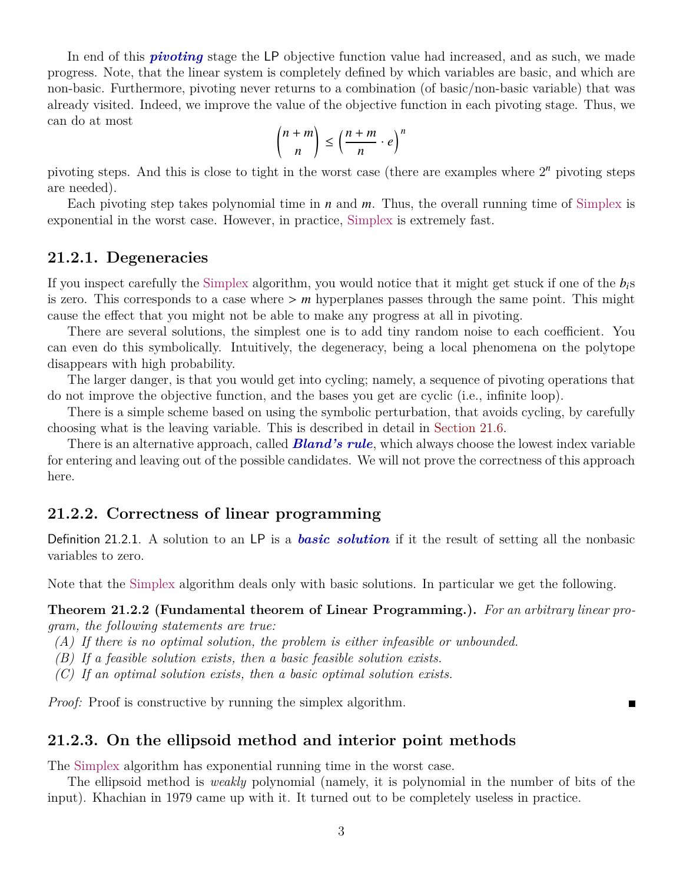In end of this *pivoting* stage the LP objective function value had increased, and as such, we made progress. Note, that the linear system is completely defined by which variables are basic, and which are non-basic. Furthermore, pivoting never returns to a combination (of basic/non-basic variable) that was already visited. Indeed, we improve the value of the objective function in each pivoting stage. Thus, we can do at most

$$
\binom{n+m}{n} \le \left(\frac{n+m}{n}\cdot e\right)^n
$$

pivoting steps. And this is close to tight in the worst case (there are examples where  $2<sup>n</sup>$  pivoting steps are needed).

Each pivoting step takes polynomial time in *n* and *m*. Thus, the overall running time of Simplex is exponential in the worst case. However, in practice, Simplex is extremely fast.

## **21.2.1. Degeneracies**

If you inspect carefully the Simplex algorithm, you would notice that it might get stuck if one of the *bi*s is zero. This corresponds to a case where > *<sup>m</sup>* hyperplanes passes through the same point. This might cause the effect that you might not be able to make any progress at all in pivoting.

There are several solutions, the simplest one is to add tiny random noise to each coefficient. You can even do this symbolically. Intuitively, the degeneracy, being a local phenomena on the polytope disappears with high probability.

The larger danger, is that you would get into cycling; namely, a sequence of pivoting operations that do not improve the objective function, and the bases you get are cyclic (i.e., infinite loop).

There is a simple scheme based on using the symbolic perturbation, that avoids cycling, by carefully choosing what is the leaving variable. This is described in detail in [Section 21.6.](#page-10-0)

There is an alternative approach, called *Bland's rule*, which always choose the lowest index variable for entering and leaving out of the possible candidates. We will not prove the correctness of this approach here.

## **21.2.2. Correctness of linear programming**

Definition 21.2.1. A solution to an LP is a *basic solution* if it the result of setting all the nonbasic variables to zero.

Note that the Simplex algorithm deals only with basic solutions. In particular we get the following.

#### **Theorem 21.2.2 (Fundamental theorem of Linear Programming.).** *For an arbitrary linear program, the following statements are true:*

П

- *(A) If there is no optimal solution, the problem is either infeasible or unbounded.*
- *(B) If a feasible solution exists, then a basic feasible solution exists.*
- *(C) If an optimal solution exists, then a basic optimal solution exists.*

*Proof:* Proof is constructive by running the simplex algorithm.

## **21.2.3. On the ellipsoid method and interior point methods**

The Simplex algorithm has exponential running time in the worst case.

The ellipsoid method is *weakly* polynomial (namely, it is polynomial in the number of bits of the input). Khachian in 1979 came up with it. It turned out to be completely useless in practice.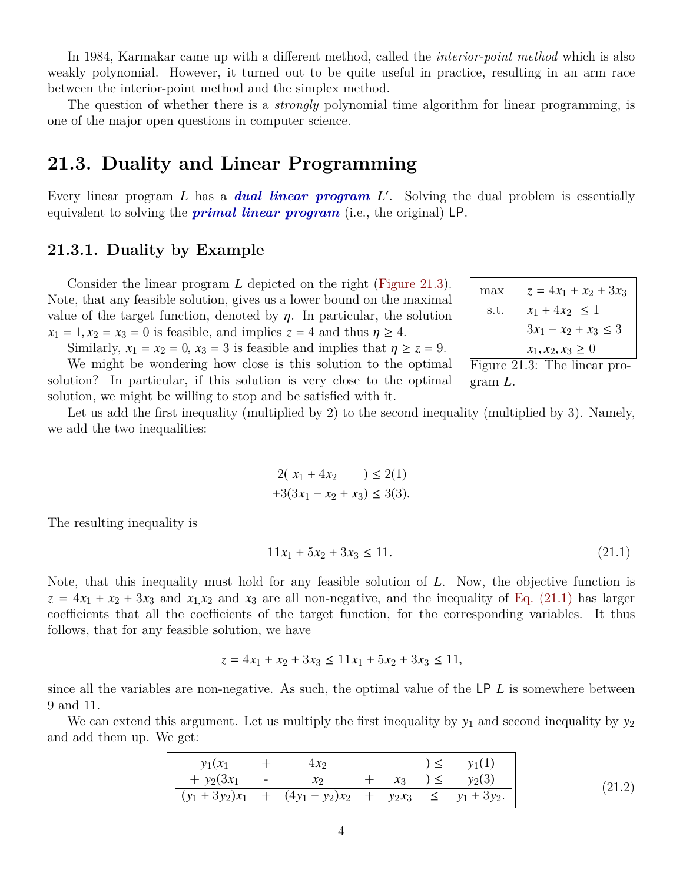In 1984, Karmakar came up with a different method, called the *interior-point method* which is also weakly polynomial. However, it turned out to be quite useful in practice, resulting in an arm race between the interior-point method and the simplex method.

The question of whether there is a *strongly* polynomial time algorithm for linear programming, is one of the major open questions in computer science.

## **21.3. Duality and Linear Programming**

Every linear program *L* has a *dual linear program L'*. Solving the dual problem is essentially equivalent to solving the *primal linear program* (i.e., the original) LP.

## **21.3.1. Duality by Example**

Consider the linear program *L* depicted on the right [\(Figure 21.3\)](#page-3-0). Note, that any feasible solution, gives us a lower bound on the maximal value of the target function, denoted by  $\eta$ . In particular, the solution  $x_1 = 1, x_2 = x_3 = 0$  is feasible, and implies  $z = 4$  and thus  $\eta \ge 4$ .

Similarly,  $x_1 = x_2 = 0$ ,  $x_3 = 3$  is feasible and implies that  $\eta \geq z = 9$ .

We might be wondering how close is this solution to the optimal solution? In particular, if this solution is very close to the optimal solution, we might be willing to stop and be satisfied with it.

$$
\begin{array}{ll}\n\text{max} & z = 4x_1 + x_2 + 3x_3\\ \n\text{s.t.} & x_1 + 4x_2 \le 1\\ \n& 3x_1 - x_2 + x_3 \le 3\\ \n& x_1, x_2, x_3 \ge 0\\ \n\text{Figure 21.3: The linear pro-} \n\end{array}
$$

<span id="page-3-0"></span>gram *L*.

Let us add the first inequality (multiplied by 2) to the second inequality (multiplied by 3). Namely, we add the two inequalities:

$$
2(x_1 + 4x_2) \le 2(1) +3(3x_1 - x_2 + x_3) \le 3(3).
$$

The resulting inequality is

<span id="page-3-1"></span>
$$
11x_1 + 5x_2 + 3x_3 \le 11. \tag{21.1}
$$

Note, that this inequality must hold for any feasible solution of *L*. Now, the objective function is  $z = 4x_1 + x_2 + 3x_3$  and  $x_1x_2$  and  $x_3$  are all non-negative, and the inequality of [Eq. \(21.1\)](#page-3-1) has larger coefficients that all the coefficients of the target function, for the corresponding variables. It thus follows, that for any feasible solution, we have

<span id="page-3-2"></span>
$$
z = 4x_1 + x_2 + 3x_3 \le 11x_1 + 5x_2 + 3x_3 \le 11,
$$

since all the variables are non-negative. As such, the optimal value of the LP *L* is somewhere between 9 and 11.

We can extend this argument. Let us multiply the first inequality by  $y_1$  and second inequality by  $y_2$ and add them up. We get:

| $y_1(x_1)$     | $4x_2$                                                       |  | $y_1(1)$               |
|----------------|--------------------------------------------------------------|--|------------------------|
| $+ y_2(3x_1 -$ | $\mathcal{X}$                                                |  | $+ x_3$ $) \le y_2(3)$ |
|                | $(y_1 + 3y_2)x_1 + (4y_1 - y_2)x_2 + y_2x_3 \le y_1 + 3y_2.$ |  |                        |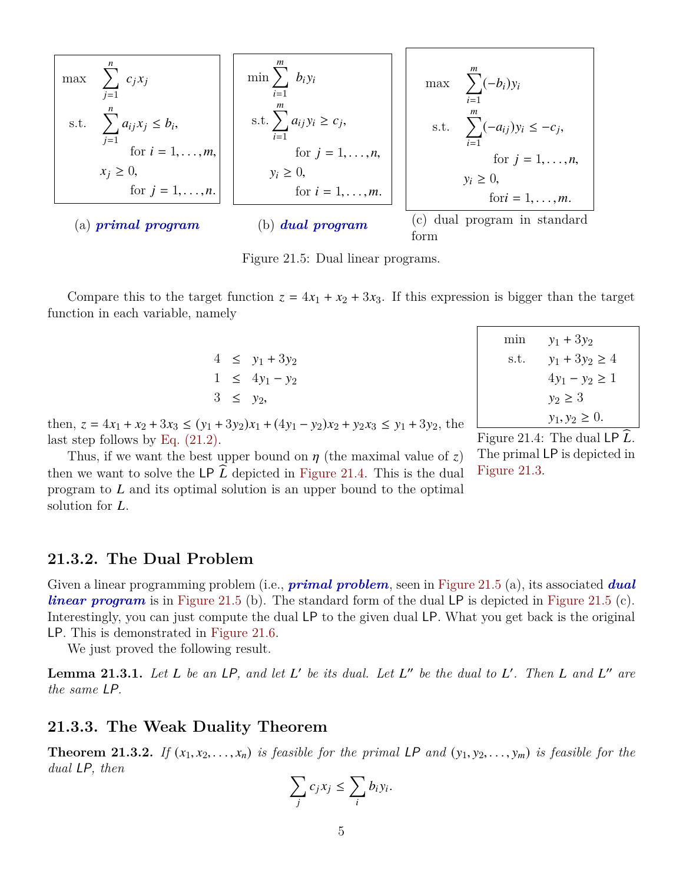<span id="page-4-1"></span>
$$
\begin{array}{|c|c|c|c|}\n\hline\n\text{max} & \sum_{j=1}^{n} c_j x_j \\
\text{s.t.} & \sum_{j=1}^{n} a_{ij} x_j \le b_i, \\
\text{for } i = 1, \ldots, m, \\
x_j \ge 0, \\
\text{for } j = 1, \ldots, n.\n\hline\n\end{array}\n\quad\n\begin{array}{|c|c|c|c|}\n\hline\n\text{min} & \sum_{i=1}^{m} b_i y_i \\
\text{s.t.} & \sum_{i=1}^{m} a_{ij} y_i \ge c_j, \\
\text{s.t.} & \sum_{i=1}^{m} (-a_{ij}) y_i \le -c_j, \\
\text{for } j = 1, \ldots, n, \\
\text{for } j = 1, \ldots, n, \\
\text{for } j = 1, \ldots, m.\n\hline\n\end{array}\n\quad\n\begin{array}{|c|c|c|}\n\hline\n\text{max} & \sum_{i=1}^{m} (-b_i) y_i \\
\text{s.t.} & \sum_{i=1}^{m} (-a_{ij}) y_i \le -c_j, \\
\text{for } j = 1, \ldots, n, \\
\text{for } j = 1, \ldots, m.\n\hline\n\end{array}\n\quad\n\begin{array}{|c|c|c|c|}\n\hline\n\text{max} & \sum_{i=1}^{m} (-b_i) y_i \\
\text{s.t.} & \sum_{i=1}^{m} (-a_{ij}) y_i \le -c_j, \\
\text{for } j = 1, \ldots, n, \\
\text{for } j = 1, \ldots, m.\n\hline\n\end{array}
$$

Figure 21.5: Dual linear programs.

Compare this to the target function  $z = 4x_1 + x_2 + 3x_3$ . If this expression is bigger than the target function in each variable, namely

> $4 \le y_1 + 3y_2$  $1 \leq 4y_1 - y_2$  $3 \leq y_2$

min  $y_1 + 3y_2$ s.t.  $y_1 + 3y_2 \ge 4$  $4y_1 - y_2 \ge 1$  $y_2 \geq 3$  $y_1, y_2 \geq 0.$ 

then,  $z = 4x_1 + x_2 + 3x_3 \le (y_1 + 3y_2)x_1 + (4y_1 - y_2)x_2 + y_2x_3 \le y_1 + 3y_2$ , the last step follows by [Eq. \(21.2\).](#page-3-2)

Thus, if we want the best upper bound on  $\eta$  (the maximal value of *z*) then we want to solve the LP  $\tilde{L}$  depicted in [Figure 21.4.](#page-4-0) This is the dual program to *L* and its optimal solution is an upper bound to the optimal solution for *L*.

<span id="page-4-0"></span>Figure 21.4: The dual LP  $\widehat{L}$ . The primal LP is depicted in [Figure 21.3.](#page-3-0)

## **21.3.2. The Dual Problem**

Given a linear programming problem (i.e., *primal problem*, seen in [Figure 21.5](#page-4-1) (a), its associated *dual linear program* is in [Figure 21.5](#page-4-1) (b). The standard form of the dual LP is depicted in Figure 21.5 (c). Interestingly, you can just compute the dual LP to the given dual LP. What you get back is the original LP. This is demonstrated in [Figure 21.6.](#page-5-0)

We just proved the following result.

**Lemma 21.3.1.** Let  $L$  be an  $LP$ , and let  $L'$  be its dual. Let  $L''$  be the dual to  $L'$ . Then  $L$  and  $L''$  are *the same* LP*.*

#### **21.3.3. The Weak Duality Theorem**

**Theorem 21.3.2.** If  $(x_1, x_2, \ldots, x_n)$  is feasible for the primal LP and  $(y_1, y_2, \ldots, y_m)$  is feasible for the *dual* LP*, then*

$$
\sum_j c_j x_j \leq \sum_i b_i y_i.
$$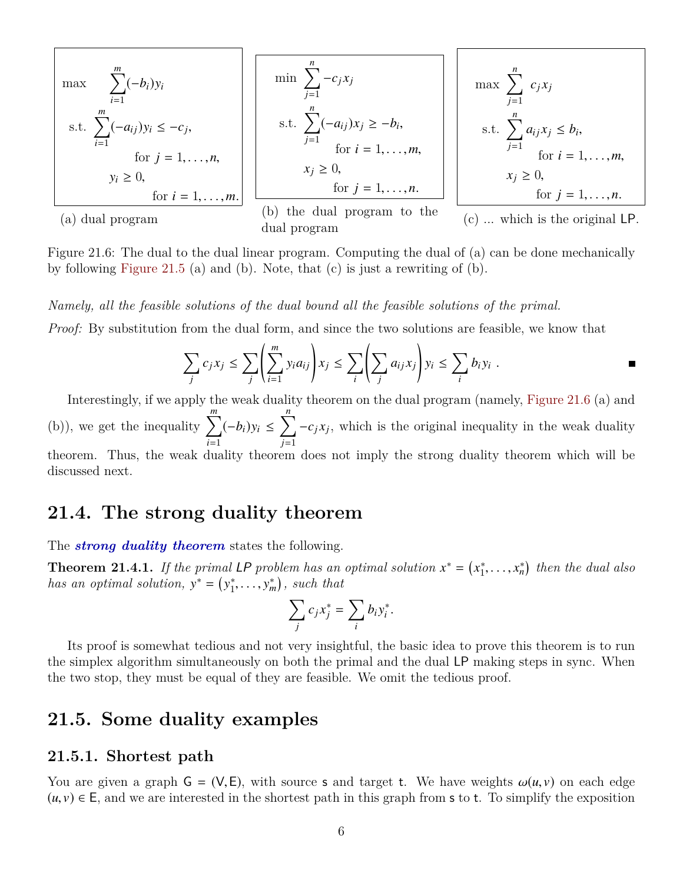<span id="page-5-0"></span>
$$
\begin{array}{|l|l|}\n\hline\n\text{max} & \sum_{i=1}^{m} (-b_i) y_i \\
\text{s.t.} & \sum_{i=1}^{m} (-a_{ij}) y_i \leq -c_j, \\
\text{for } j = 1, \dots, n, \\
y_i \geq 0, \\
\hline\n\text{for } i = 1, \dots, m.\n\hline\n\end{array}\n\quad\n\begin{array}{|l|l|}\n\hline\n\text{min} & \sum_{j=1}^{n} -c_j x_j \\
\text{s.t.} & \sum_{j=1}^{n} (-a_{ij}) x_j \geq -b_i, \\
\text{for } i = 1, \dots, m, \\
\text{for } i = 1, \dots, m, \\
\text{for } j = 1, \dots, n.\n\hline\n\end{array}\n\quad\n\begin{array}{|l|}\n\hline\n\text{max} & \sum_{j=1}^{n} c_j x_j \\
\text{s.t.} & \sum_{j=1}^{n} a_{ij} x_j \leq b_i, \\
\text{s.t.} & \sum_{j=1}^{n} a_{ij} x_j \leq b_i, \\
\text{for } i = 1, \dots, m, \\
\text{for } i = 1, \dots, m, \\
\text{(b) the dual program to the dual program to the dual program (c) ... which is the original LP.\n\end{array}
$$

Figure 21.6: The dual to the dual linear program. Computing the dual of (a) can be done mechanically by following [Figure 21.5](#page-4-1) (a) and (b). Note, that (c) is just a rewriting of (b).

*Namely, all the feasible solutions of the dual bound all the feasible solutions of the primal.*

*Proof:* By substitution from the dual form, and since the two solutions are feasible, we know that

$$
\sum_j c_j x_j \leq \sum_j \left( \sum_{i=1}^m y_i a_{ij} \right) x_j \leq \sum_i \left( \sum_j a_{ij} x_j \right) y_i \leq \sum_i b_i y_i .
$$

Interestingly, if we apply the weak duality theorem on the dual program (namely, [Figure 21.6](#page-5-0) (a) and (b)), we get the inequality  $\sum_{n=1}^{m}$ *i*=1  $(-b_i)y_i \leq \sum_{i=1}^{n}$ *j*=1  $-c_j x_j$ , which is the original inequality in the weak duality theorem. Thus, the weak duality theorem does not imply the strong duality theorem which will be discussed next.

## **21.4. The strong duality theorem**

The *strong duality theorem* states the following.

**Theorem 21.4.1.** If the primal LP problem has an optimal solution  $x^* = (x_1^*)$  $x_1^*, \ldots, x_n^*$  then the dual also *has an optimal solution,*  $y^* = (y_1^*)$  $\left( \sum_{i=1}^{n} \cdots \sum_{i=1}^{n} x_i \right)$ , such that

$$
\sum_j c_j x_j^* = \sum_i b_i y_i^*.
$$

Its proof is somewhat tedious and not very insightful, the basic idea to prove this theorem is to run the simplex algorithm simultaneously on both the primal and the dual LP making steps in sync. When the two stop, they must be equal of they are feasible. We omit the tedious proof.

## **21.5. Some duality examples**

#### **21.5.1. Shortest path**

You are given a graph  $G = (V, E)$ , with source s and target t. We have weights  $\omega(u, v)$  on each edge  $(u, v) \in E$ , and we are interested in the shortest path in this graph from s to t. To simplify the exposition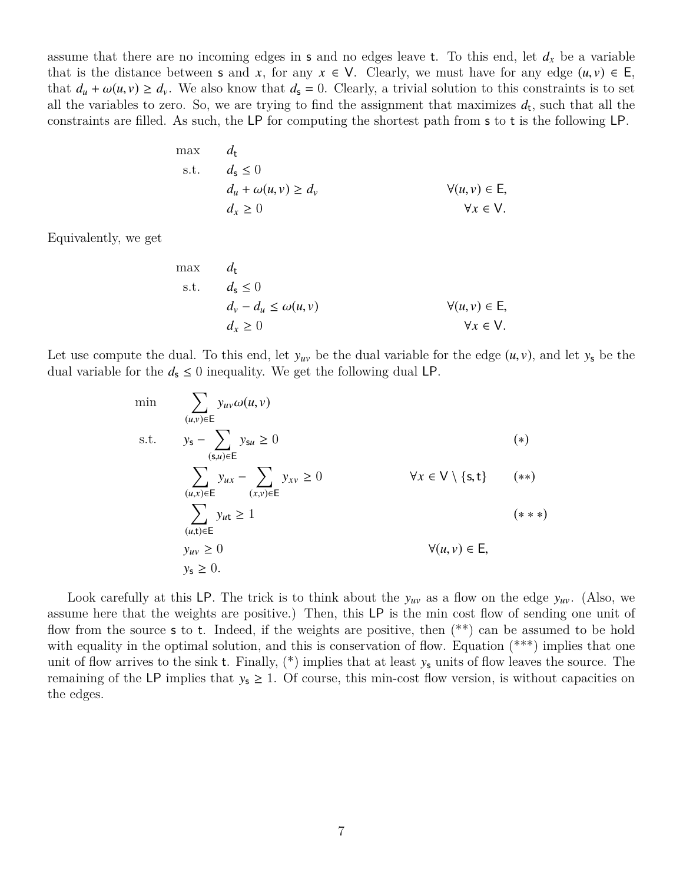assume that there are no incoming edges in s and no edges leave t. To this end, let  $d_x$  be a variable that is the distance between **s** and *x*, for any  $x \in V$ . Clearly, we must have for any edge  $(u, v) \in E$ , that  $d_u + \omega(u, v) \ge d_v$ . We also know that  $d_s = 0$ . Clearly, a trivial solution to this constraints is to set all the variables to zero. So, we are trying to find the assignment that maximizes  $d_t$ , such that all the constraints are filled. As such, the LP for computing the shortest path from s to t is the following LP.

max 
$$
d_t
$$
  
\ns.t.  $d_s \le 0$   
\n $d_u + \omega(u, v) \ge d_v$   
\n $d_x \ge 0$   
\n $\forall (u, v) \in E,$   
\n $\forall x \in V.$ 

Equivalently, we get

max 
$$
d_t
$$
  
\ns.t.  $d_s \le 0$   
\n $d_v - d_u \le \omega(u, v)$   
\n $d_x \ge 0$   
\n $\forall (u, v) \in E,$   
\n $\forall x \in V.$ 

Let use compute the dual. To this end, let  $y_{uv}$  be the dual variable for the edge  $(u, v)$ , and let  $y_s$  be the dual variable for the  $d_s \leq 0$  inequality. We get the following dual LP.

$$
\min \quad \sum_{(u,v)\in E} y_{uv} \omega(u,v)
$$
\n
$$
\text{s.t.} \quad y_{\mathsf{s}} - \sum_{(\mathsf{s},u)\in E} y_{\mathsf{s}u} \ge 0 \quad (*)
$$
\n
$$
\sum_{(u,x)\in E} y_{ux} - \sum_{(x,v)\in E} y_{xv} \ge 0 \quad \forall x \in V \setminus \{\mathsf{s},\mathsf{t}\} \quad (**)
$$
\n
$$
\sum_{(u,\mathsf{t})\in E} y_{ut} \ge 1 \quad (**)
$$
\n
$$
y_{uv} \ge 0 \quad \forall (u,v) \in E, \quad y_{\mathsf{s}} \ge 0.
$$
\n
$$
(**)
$$

Look carefully at this LP. The trick is to think about the  $y_{uv}$  as a flow on the edge  $y_{uv}$ . (Also, we assume here that the weights are positive.) Then, this LP is the min cost flow of sending one unit of flow from the source **s** to **t**. Indeed, if the weights are positive, then  $(**)$  can be assumed to be hold with equality in the optimal solution, and this is conservation of flow. Equation  $(*^{**})$  implies that one unit of flow arrives to the sink t. Finally,  $(*)$  implies that at least  $y_s$  units of flow leaves the source. The remaining of the LP implies that  $y_s \geq 1$ . Of course, this min-cost flow version, is without capacities on the edges.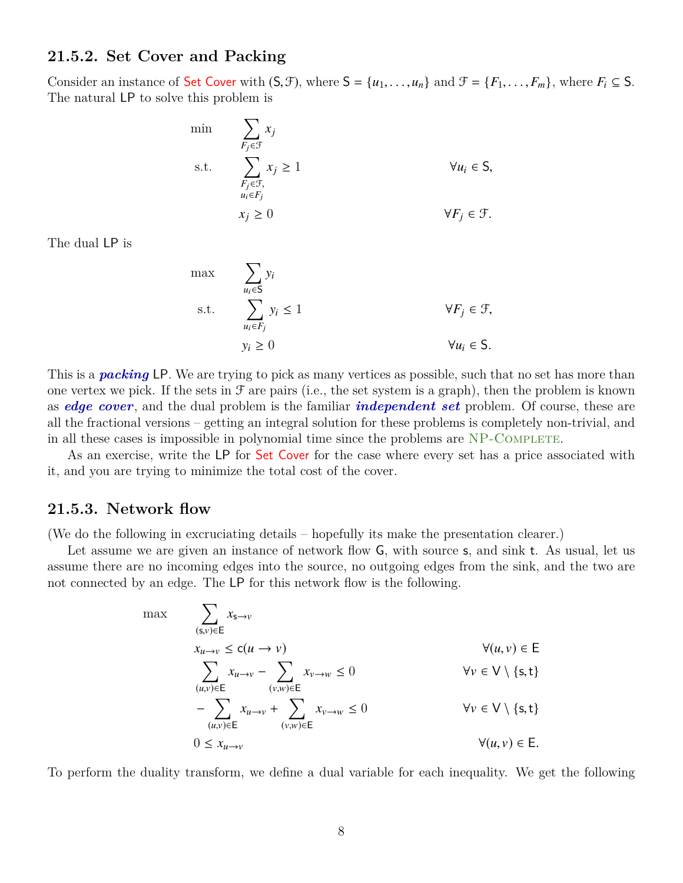## **21.5.2. Set Cover and Packing**

Consider an instance of Set Cover with  $(S, \mathcal{F})$ , where  $S = \{u_1, \ldots, u_n\}$  and  $\mathcal{F} = \{F_1, \ldots, F_m\}$ , where  $F_i \subseteq S$ . The natural LP to solve this problem is

min  
\n
$$
\sum_{F_j \in \mathcal{F}} x_j
$$
\ns.t.  
\n
$$
\sum_{\substack{F_j \in \mathcal{F}, \\ u_i \in F_j}} x_j \ge 1
$$
\n
$$
\forall u_i \in S,
$$
\n
$$
y_F_j \in \mathcal{F}.
$$

The dual LP is

max  
\n
$$
\sum_{u_i \in S} y_i
$$
\ns.t.  
\n
$$
\sum_{u_i \in F_j} y_i \le 1
$$
\n
$$
\forall F_j \in \mathcal{F},
$$
\n
$$
y_i \ge 0
$$
\n
$$
\forall u_i \in S.
$$

This is a *packing* LP. We are trying to pick as many vertices as possible, such that no set has more than one vertex we pick. If the sets in  $\mathcal F$  are pairs (i.e., the set system is a graph), then the problem is known as *edge cover*, and the dual problem is the familiar *independent set* problem. Of course, these are all the fractional versions – getting an integral solution for these problems is completely non-trivial, and in all these cases is impossible in polynomial time since the problems are NP-COMPLETE.

As an exercise, write the LP for Set Cover for the case where every set has a price associated with it, and you are trying to minimize the total cost of the cover.

## **21.5.3. Network flow**

(We do the following in excruciating details – hopefully its make the presentation clearer.)

Let assume we are given an instance of network flow  $G$ , with source s, and sink t. As usual, let us assume there are no incoming edges into the source, no outgoing edges from the sink, and the two are not connected by an edge. The LP for this network flow is the following.

$$
\max \qquad \sum_{(\mathsf{s},v)\in \mathsf{E}} x_{\mathsf{s}\to v} \n x_{u\to v} \le c(u \to v) \n \sum_{(u,v)\in \mathsf{E}} x_{u\to v} - \sum_{(v,w)\in \mathsf{E}} x_{v\to w} \le 0 \qquad \forall v \in \mathsf{V} \setminus \{\mathsf{s},\mathsf{t}\} \n - \sum_{(u,v)\in \mathsf{E}} x_{u\to v} + \sum_{(v,w)\in \mathsf{E}} x_{v\to w} \le 0 \qquad \forall v \in \mathsf{V} \setminus \{\mathsf{s},\mathsf{t}\} \n 0 \le x_{u\to v} \qquad \forall (u,v) \in \mathsf{E}.
$$

To perform the duality transform, we define a dual variable for each inequality. We get the following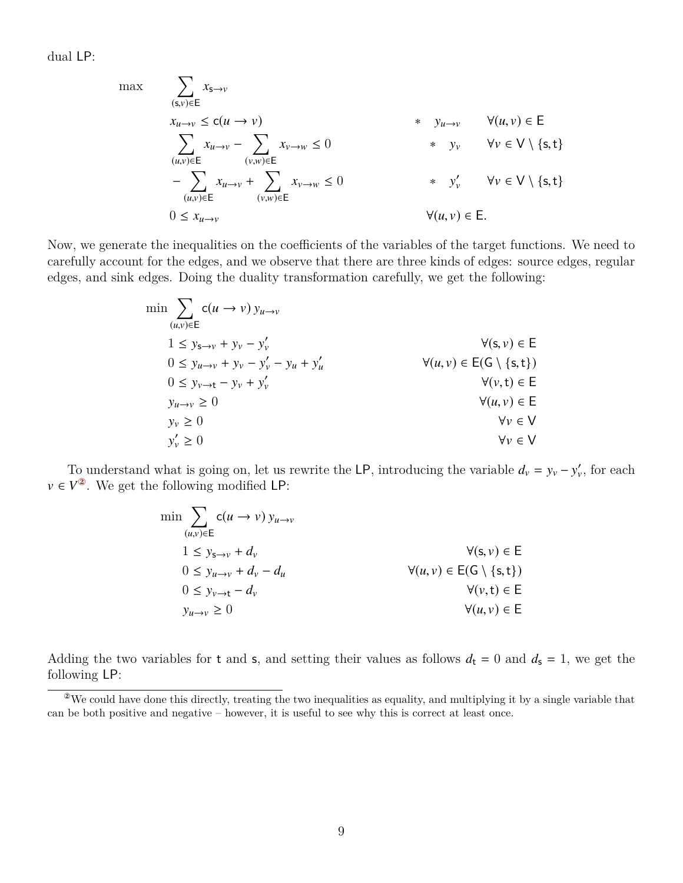dual LP:

$$
\max \qquad \sum_{(\mathbf{s}, v) \in \mathsf{E}} x_{\mathbf{s} \to v}
$$
\n
$$
x_{u \to v} \le c(u \to v)
$$
\n
$$
\sum_{(u,v) \in \mathsf{E}} x_{u \to v} - \sum_{(v,w) \in \mathsf{E}} x_{v \to w} \le 0
$$
\n
$$
+ y_v \qquad \forall v \in \mathsf{V} \setminus \{\mathbf{s}, \mathbf{t}\}
$$
\n
$$
- \sum_{(u,v) \in \mathsf{E}} x_{u \to v} + \sum_{(v,w) \in \mathsf{E}} x_{v \to w} \le 0
$$
\n
$$
0 \le x_{u \to v}
$$
\n
$$
\forall (u, v) \in \mathsf{E}.
$$
\n1. 
$$
\forall (u, v) \in \mathsf{E}.
$$

Now, we generate the inequalities on the coefficients of the variables of the target functions. We need to carefully account for the edges, and we observe that there are three kinds of edges: source edges, regular edges, and sink edges. Doing the duality transformation carefully, we get the following:

$$
\min \sum_{(u,v)\in E} c(u \to v) y_{u \to v}
$$
\n
$$
1 \le y_{s \to v} + y_v - y'_v
$$
\n
$$
0 \le y_{u \to v} + y_v - y'_v - y_u + y'_u
$$
\n
$$
0 \le y_{v \to t} - y_v + y'_v
$$
\n
$$
y(u,v) \in E(G \setminus \{s,t\})
$$
\n
$$
0 \le y_{v \to t} - y_v + y'_v
$$
\n
$$
y(u,v) \in E(G \setminus \{s,t\})
$$
\n
$$
y_v \ge 0
$$
\n
$$
y'_v \ge 0
$$
\n
$$
y'_v \ge 0
$$
\n
$$
y'_v \in V
$$

To understand what is going on, let us rewrite the LP, introducing the variable  $d_v = y_v - y'_v$ , for each  $v \in V^2$ . We get the following modified LP:

| $\min$ $\sum$ $c(u \rightarrow v) y_{u \rightarrow v}$<br>$(u,v) \in E$ |                                              |
|-------------------------------------------------------------------------|----------------------------------------------|
| $1 \leq y_{s \to v} + d_v$                                              | $\forall (s, v) \in E$                       |
| $0 \leq y_{u \to v} + d_v - d_u$                                        | $\forall (u, v) \in E(G \setminus \{s, t\})$ |
| $0 \leq y_{v \to t} - d_v$                                              | $\forall (v, t) \in E$                       |
| $y_{u\rightarrow v} \geq 0$                                             | $\forall (u, v) \in E$                       |
|                                                                         |                                              |

Adding the two variables for t and s, and setting their values as follows  $d_t = 0$  and  $d_s = 1$ , we get the following LP:

<span id="page-8-0"></span><sup>②</sup>We could have done this directly, treating the two inequalities as equality, and multiplying it by a single variable that can be both positive and negative – however, it is useful to see why this is correct at least once.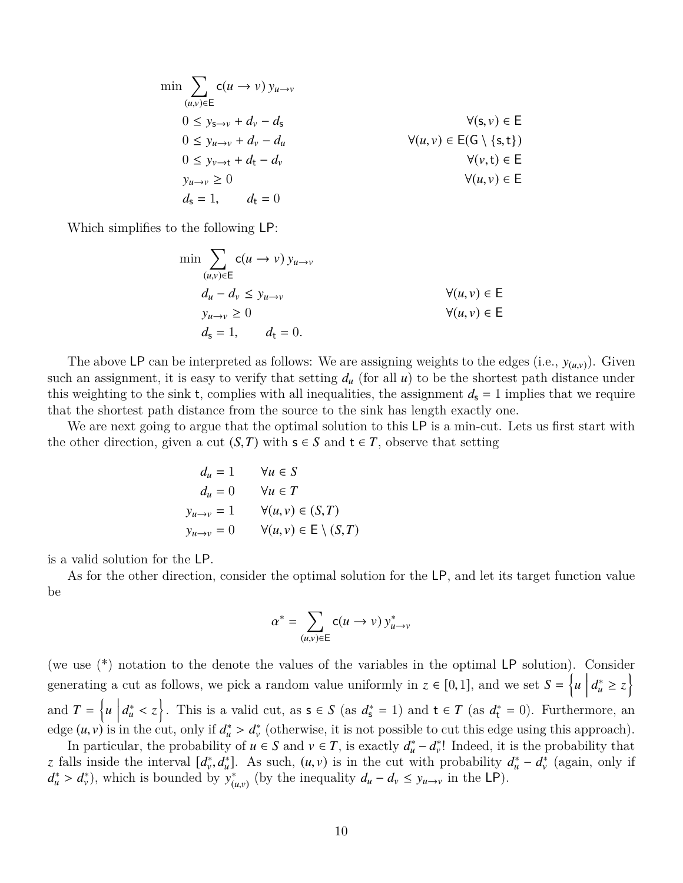$$
\min \sum_{(u,v)\in E} c(u \to v) y_{u \to v}
$$
\n
$$
0 \le y_{s \to v} + d_v - d_s
$$
\n
$$
0 \le y_{u \to v} + d_v - d_u
$$
\n
$$
0 \le y_{v \to t} + d_t - d_v
$$
\n
$$
0 \le y_{v \to t} + d_t - d_v
$$
\n
$$
y_{u \to v} \ge 0
$$
\n
$$
0 \le d_s = 1, \qquad d_t = 0
$$
\n
$$
0 \le \forall u, v \in E
$$
\n
$$
y_{u \to v} \ge 0
$$
\n
$$
0 \le d_s = 1, \qquad d_t = 0
$$

Which simplifies to the following LP:

$$
\min \sum_{(u,v)\in E} c(u \to v) y_{u \to v}
$$
\n
$$
d_u - d_v \le y_{u \to v}
$$
\n
$$
y_{u \to v} \ge 0
$$
\n
$$
d_s = 1, \qquad d_t = 0.
$$
\nWhen  $u$  is the function  $u$  and  $u$  is the function  $u$  and  $u$  is the function  $u$  and  $u$  is the function  $u$  and  $u$  is the function  $u$  and  $u$  is the function  $u$  and  $u$  is the function  $u$  and  $u$  is the function  $u$  and  $u$  is the function  $u$  and  $u$  is the function  $u$  and  $u$  is the function  $u$  and  $u$  is the function  $u$  and  $u$  is the function  $u$  and  $u$  is the function  $u$  and  $u$  is the function  $u$  and  $u$  is the function  $u$  and  $u$  is the function  $u$  and  $u$  is the function  $u$  and  $u$  is the function  $u$  and  $u$  is the function  $u$  and  $u$  is the function  $u$  and  $u$  is the function  $u$  and  $u$  is the function  $u$  and  $u$  is the function  $u$  and  $u$  is the function  $u$  and  $u$  is the function  $u$  and  $u$  is the function  $u$  and  $u$  is the function  $u$  and  $u$  is the function  $u$  and  $u$  is the function  $u$  and  $u$  is the function  $u$  and  $u$  is the function  $u$  and  $u$  is the function  $u$  and  $u$  is the function  $u$  and  $u$  is the function  $u$  and  $u$  is the function  $u$  and  $u$  is the function

The above LP can be interpreted as follows: We are assigning weights to the edges (i.e.,  $y_{(u,v)}$ ). Given such an assignment, it is easy to verify that setting  $d<sub>u</sub>$  (for all  $u$ ) to be the shortest path distance under this weighting to the sink t, complies with all inequalities, the assignment  $d_s = 1$  implies that we require that the shortest path distance from the source to the sink has length exactly one.

We are next going to argue that the optimal solution to this LP is a min-cut. Lets us first start with the other direction, given a cut  $(S, T)$  with  $s \in S$  and  $t \in T$ , observe that setting

$$
d_u = 1 \qquad \forall u \in S
$$
  
\n
$$
d_u = 0 \qquad \forall u \in T
$$
  
\n
$$
y_{u \to v} = 1 \qquad \forall (u, v) \in (S, T)
$$
  
\n
$$
y_{u \to v} = 0 \qquad \forall (u, v) \in E \setminus (S, T)
$$

is a valid solution for the LP.

As for the other direction, consider the optimal solution for the LP, and let its target function value be

$$
\alpha^* = \sum_{(u,v)\in \mathsf{E}} \mathsf{c}(u \to v) \, y^*_{u \to v}
$$

(we use (\*) notation to the denote the values of the variables in the optimal LP solution). Consider generating a cut as follows, we pick a random value uniformly in  $z \in [0, 1]$ , and we set  $S = \{u \mid u \in [0, 1] \}$  $d_u^* ≥ z$ and  $T = \left\{ u \mid u \right\}$  $d_u^* < z$ . This is a valid cut, as  $s \in S$  (as  $d_s^* = 1$ ) and  $t \in T$  (as  $d_t^* = 0$ ). Furthermore, an edge  $(u, v)$  is in the cut, only if  $d_u^* > d_v^*$  (otherwise, it is not possible to cut this edge using this approach).<br>In particular, the probability of  $u \in S$  and  $v \in T$  is exactly  $d^* = d^*$ ! Indeed, it is the probability

In particular, the probability of  $u \in S$  and  $v \in T$ , is exactly  $d_u^* - d_v^*$ ! Indeed, it is the probability that *z* falls inside the interval  $[d_v^*, d_u^*]$ . As such,  $(u, v)$  is in the cut with probability  $d_u^* - d_v^*$  (again, only if  $d^* > d^*$ ) which is bounded by  $v^*$  (by the inequality  $d - d \le v$  in the LP)  $d_u^* > d_v^*$ , which is bounded by  $y_{(i)}^*$  $\int_{(u,v)}^{\ast}$  (by the inequality  $d_u - d_v \leq y_{u \to v}$  in the LP).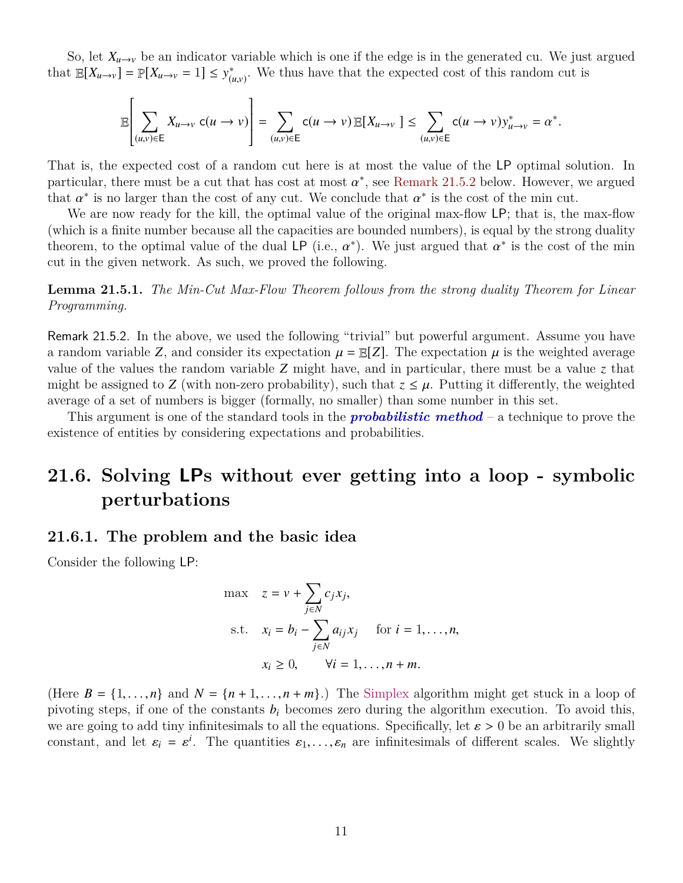So, let  $X_{u\to v}$  be an indicator variable which is one if the edge is in the generated cu. We just argued that  $\mathbb{E}[X_{u\to v}] = \mathbb{P}[X_{u\to v} = 1] \leq y_{0}^*$  $(u,v)$ . We thus have that the expected cost of this random cut is

$$
\mathbb{E}\left[\sum_{(u,v)\in E} X_{u\to v} \ c(u\to v)\right] = \sum_{(u,v)\in E} c(u\to v) \mathbb{E}[X_{u\to v}] \leq \sum_{(u,v)\in E} c(u\to v) y_{u\to v}^* = \alpha^*.
$$

That is, the expected cost of a random cut here is at most the value of the LP optimal solution. In particular, there must be a cut that has cost at most  $\alpha^*$ , see [Remark 21.5.2](#page-10-1) below. However, we argued<br>that  $\alpha^*$  is no larger than the cost of any cut. We conclude that  $\alpha^*$  is the cost of the min cut that  $\alpha^*$  is no larger than the cost of any cut. We conclude that  $\alpha^*$  is the cost of the min cut.<br>We are now ready for the kill, the optimal value of the original max-flow LP: that is, the

We are now ready for the kill, the optimal value of the original max-flow LP; that is, the max-flow (which is a finite number because all the capacities are bounded numbers), is equal by the strong duality theorem, to the optimal value of the dual LP (i.e.,  $\alpha^*$ ). We just argued that  $\alpha^*$  is the cost of the min<br>cut in the given network. As such we proved the following cut in the given network. As such, we proved the following.

**Lemma 21.5.1.** *The Min-Cut Max-Flow Theorem follows from the strong duality Theorem for Linear Programming.*

<span id="page-10-1"></span>Remark 21.5.2. In the above, we used the following "trivial" but powerful argument. Assume you have a random variable *Z*, and consider its expectation  $\mu = \mathbb{E}[Z]$ . The expectation  $\mu$  is the weighted average value of the values the random variable *Z* might have, and in particular, there must be a value *z* that might be assigned to *Z* (with non-zero probability), such that  $z \leq \mu$ . Putting it differently, the weighted average of a set of numbers is bigger (formally, no smaller) than some number in this set.

This argument is one of the standard tools in the *probabilistic method* – a technique to prove the existence of entities by considering expectations and probabilities.

## <span id="page-10-0"></span>**21.6. Solving LPs without ever getting into a loop - symbolic perturbations**

## **21.6.1. The problem and the basic idea**

Consider the following LP:

$$
\max \quad z = v + \sum_{j \in N} c_j x_j,
$$
\n
$$
\text{s.t.} \quad x_i = b_i - \sum_{j \in N} a_{ij} x_j \quad \text{for } i = 1, \dots, n,
$$
\n
$$
x_i \ge 0, \quad \forall i = 1, \dots, n + m.
$$

(Here  $B = \{1, \ldots, n\}$  and  $N = \{n+1, \ldots, n+m\}$ .) The Simplex algorithm might get stuck in a loop of pivoting steps, if one of the constants  $b_i$  becomes zero during the algorithm execution. To avoid this, we are going to add tiny infinitesimals to all the equations. Specifically, let  $\varepsilon > 0$  be an arbitrarily small constant, and let  $\varepsilon_i = \varepsilon^i$ . The quantities  $\varepsilon_1, \ldots, \varepsilon_n$  are infinitesimals of different scales. We slightly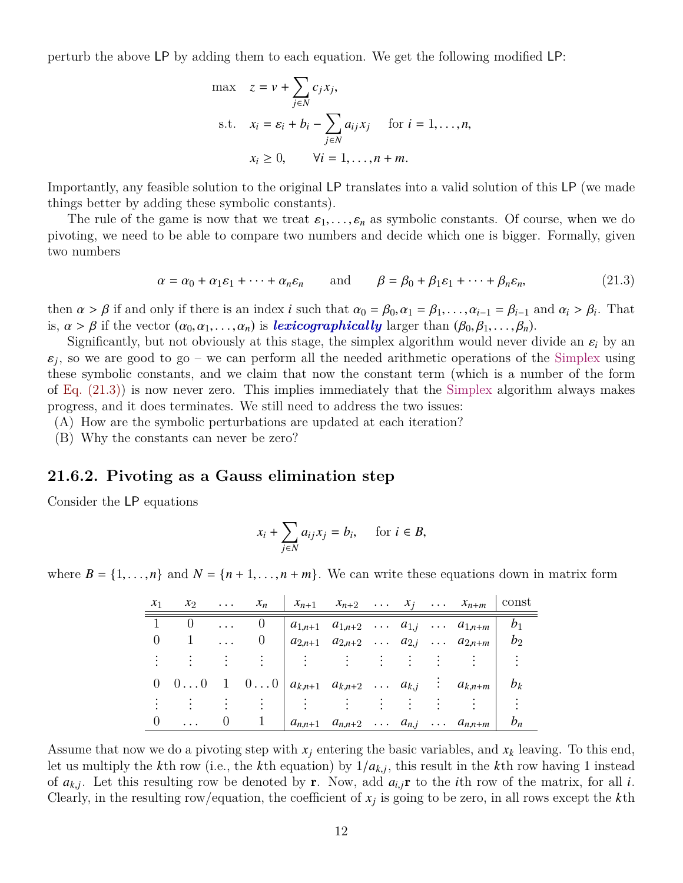perturb the above LP by adding them to each equation. We get the following modified LP:

$$
\max \quad z = v + \sum_{j \in N} c_j x_j,
$$
\n
$$
\text{s.t.} \quad x_i = \varepsilon_i + b_i - \sum_{j \in N} a_{ij} x_j \quad \text{for } i = 1, \dots, n,
$$
\n
$$
x_i \ge 0, \qquad \forall i = 1, \dots, n + m.
$$

Importantly, any feasible solution to the original LP translates into a valid solution of this LP (we made things better by adding these symbolic constants).

The rule of the game is now that we treat  $\varepsilon_1, \ldots, \varepsilon_n$  as symbolic constants. Of course, when we do pivoting, we need to be able to compare two numbers and decide which one is bigger. Formally, given two numbers

$$
\alpha = \alpha_0 + \alpha_1 \varepsilon_1 + \dots + \alpha_n \varepsilon_n \quad \text{and} \quad \beta = \beta_0 + \beta_1 \varepsilon_1 + \dots + \beta_n \varepsilon_n, \tag{21.3}
$$

then  $\alpha > \beta$  if and only if there is an index *i* such that  $\alpha_0 = \beta_0, \alpha_1 = \beta_1, \ldots, \alpha_{i-1} = \beta_{i-1}$  and  $\alpha_i > \beta_i$ . That<br>is  $\alpha > \beta$  if the vector  $(\alpha_0, \alpha_1, \ldots, \alpha_k)$  is *lexicographically* larger than  $(\beta_0, \beta_1, \ldots, \$ is,  $\alpha > \beta$  if the vector  $(\alpha_0, \alpha_1, \ldots, \alpha_n)$  is *lexicographically* larger than  $(\beta_0, \beta_1, \ldots, \beta_n)$ .

Significantly, but not obviously at this stage, the simplex algorithm would never divide an  $\varepsilon_i$  by an  $\varepsilon_j$ , so we are good to go – we can perform all the needed arithmetic operations of the Simplex using<br>these symbolic constants, and we claim that now the constant term (which is a number of the form  $\varepsilon_i$ , so we are good to go – we can perform all the needed arithmetic operations of the Simplex using of [Eq. \(21.3\)\)](#page-11-0) is now never zero. This implies immediately that the Simplex algorithm always makes progress, and it does terminates. We still need to address the two issues:

(A) How are the symbolic perturbations are updated at each iteration?

(B) Why the constants can never be zero?

#### **21.6.2. Pivoting as a Gauss elimination step**

Consider the LP equations

<span id="page-11-0"></span>
$$
x_i + \sum_{j \in N} a_{ij} x_j = b_i, \quad \text{ for } i \in B,
$$

where  $B = \{1, \ldots, n\}$  and  $N = \{n+1, \ldots, n+m\}$ . We can write these equations down in matrix form

| $x_1$ | $x_2$      | $\ldots \quad x_n$                                                |  |  | $\begin{array}{ccccccccc} & x_{n+1} & x_{n+2} & \ldots & x_j & \ldots & x_{n+m} & \text{const} \end{array}$ |  |
|-------|------------|-------------------------------------------------------------------|--|--|-------------------------------------------------------------------------------------------------------------|--|
|       |            | $\theta$                                                          |  |  | $ a_{1,n+1} \quad a_{1,n+2} \quad \ldots \quad a_{1,j} \quad \ldots \quad a_{1,n+m}   b_1$                  |  |
|       | $1 \ldots$ | U                                                                 |  |  | $\begin{vmatrix} a_{2,n+1} & a_{2,n+2} & \dots & a_{2,j} & \dots & a_{2,n+m} \end{vmatrix}$ $b_2$           |  |
|       |            |                                                                   |  |  |                                                                                                             |  |
|       |            | 0 0 0 1 0 0 $a_{k,n+1}$ $a_{k,n+2}$ $a_{k,j}$ : $a_{k,n+m}$ $b_k$ |  |  |                                                                                                             |  |
|       |            |                                                                   |  |  |                                                                                                             |  |
|       | $\cdots$   |                                                                   |  |  | $  a_{n,n+1} \, a_{n,n+2} \, \ldots \, a_{n,j} \, \ldots \, a_{n,n+m}   b_n$                                |  |
|       |            |                                                                   |  |  |                                                                                                             |  |

Assume that now we do a pivoting step with  $x_j$  entering the basic variables, and  $x_k$  leaving. To this end, let us multiply the *k*th row (i.e., the *k*th equation) by  $1/a_{k,j}$ , this result in the *k*th row having 1 instead<br>of  $a_{k,j}$ . Let this resulting row be denoted by r. Now, add  $a_{k,j}$  to the *i*th row of the metrix for a of  $a_{k,j}$ . Let this resulting row be denoted by **r**. Now, add  $a_{i,j}$ **r** to the *i*th row of the matrix, for all *i*.<br>Cloonly in the resulting row (equation, the earthcapt of x is going to be zero, in all rows execut the Clearly, in the resulting row/equation, the coefficient of  $x_j$  is going to be zero, in all rows except the  $k$ <sup>th</sup>